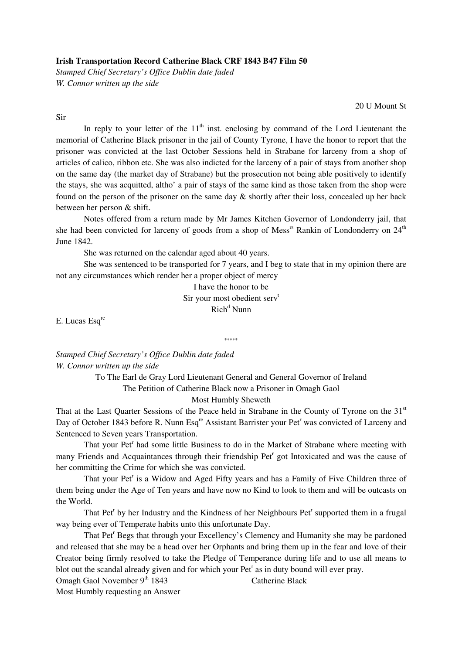## **Irish Transportation Record Catherine Black CRF 1843 B47 Film 50**

*Stamped Chief Secretary's Office Dublin date faded W. Connor written up the side* 

20 U Mount St

Sir

In reply to your letter of the  $11<sup>th</sup>$  inst. enclosing by command of the Lord Lieutenant the memorial of Catherine Black prisoner in the jail of County Tyrone, I have the honor to report that the prisoner was convicted at the last October Sessions held in Strabane for larceny from a shop of articles of calico, ribbon etc. She was also indicted for the larceny of a pair of stays from another shop on the same day (the market day of Strabane) but the prosecution not being able positively to identify the stays, she was acquitted, altho' a pair of stays of the same kind as those taken from the shop were found on the person of the prisoner on the same day & shortly after their loss, concealed up her back between her person & shift.

 Notes offered from a return made by Mr James Kitchen Governor of Londonderry jail, that she had been convicted for larceny of goods from a shop of Mess<sup>rs</sup> Rankin of Londonderry on  $24<sup>th</sup>$ June 1842.

She was returned on the calendar aged about 40 years.

 She was sentenced to be transported for 7 years, and I beg to state that in my opinion there are not any circumstances which render her a proper object of mercy

I have the honor to be

Sir your most obedient serv<sup>t</sup>

\*\*\*\*\*

Rich<sup>d</sup> Nunn

E. Lucas Esq<sup>re</sup>

*Stamped Chief Secretary's Office Dublin date faded W. Connor written up the side* 

> To The Earl de Gray Lord Lieutenant General and General Governor of Ireland The Petition of Catherine Black now a Prisoner in Omagh Gaol

Most Humbly Sheweth

That at the Last Quarter Sessions of the Peace held in Strabane in the County of Tyrone on the 31<sup>st</sup> Day of October 1843 before R. Nunn Esq<sup>re</sup> Assistant Barrister your Pet<sup>r</sup> was convicted of Larceny and Sentenced to Seven years Transportation.

That your Pet<sup>r</sup> had some little Business to do in the Market of Strabane where meeting with many Friends and Acquaintances through their friendship Pet<sup>r</sup> got Intoxicated and was the cause of her committing the Crime for which she was convicted.

That your Pet<sup>r</sup> is a Widow and Aged Fifty years and has a Family of Five Children three of them being under the Age of Ten years and have now no Kind to look to them and will be outcasts on the World.

That Pet<sup>r</sup> by her Industry and the Kindness of her Neighbours Pet<sup>r</sup> supported them in a frugal way being ever of Temperate habits unto this unfortunate Day.

That Pet<sup>r</sup> Begs that through your Excellency's Clemency and Humanity she may be pardoned and released that she may be a head over her Orphants and bring them up in the fear and love of their Creator being firmly resolved to take the Pledge of Temperance during life and to use all means to blot out the scandal already given and for which your Pet<sup>r</sup> as in duty bound will ever pray.

Omagh Gaol November 9<sup>th</sup> 1843 Catherine Black

Most Humbly requesting an Answer